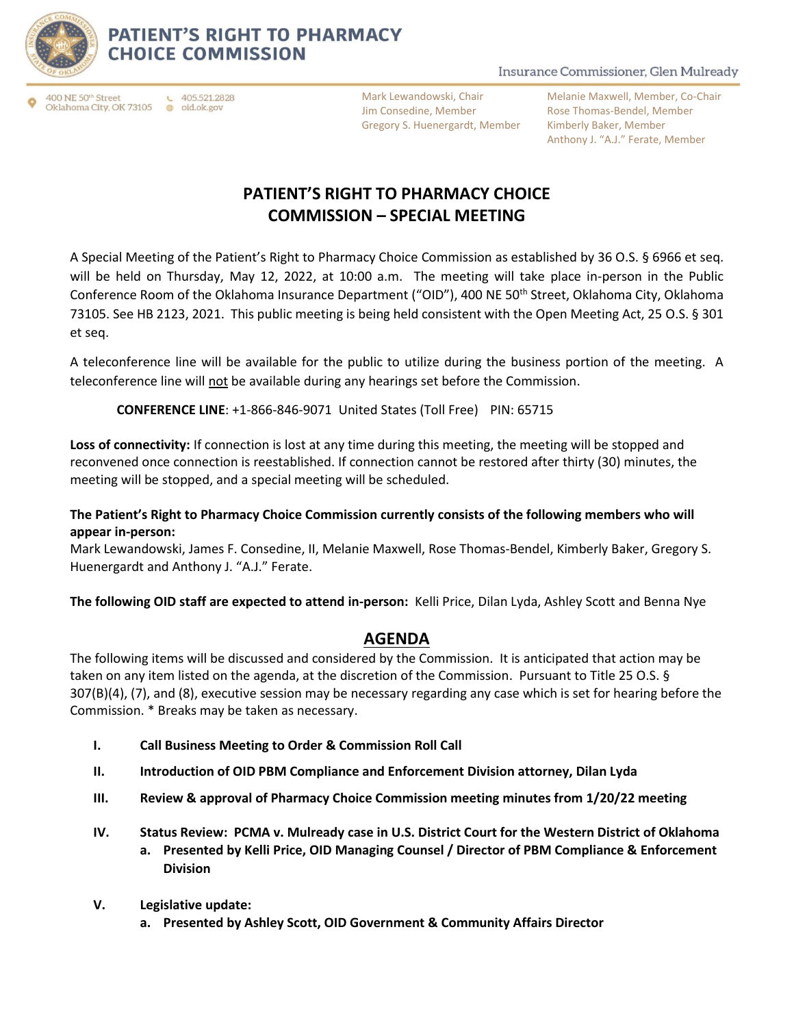

## **PATIENT'S RIGHT TO PHARMACY CHOICE COMMISSION**

#### $\leftarrow$  405.521.2828 400 NE 50th Street Oklahoma City, OK 73105 @ oid.ok.gov

Mark Lewandowski, Chair Jim Consedine, Member Gregory S. Huenergardt, Member

Insurance Commissioner, Glen Mulready

Melanie Maxwell, Member, Co-Chair Rose Thomas-Bendel, Member Kimberly Baker, Member Anthony J. "A.J." Ferate, Member

# **PATIENT'S RIGHT TO PHARMACY CHOICE COMMISSION – SPECIAL MEETING**

A Special Meeting of the Patient's Right to Pharmacy Choice Commission as established by 36 O.S. § 6966 et seq. will be held on Thursday, May 12, 2022, at 10:00 a.m. The meeting will take place in-person in the Public Conference Room of the Oklahoma Insurance Department ("OID"), 400 NE 50<sup>th</sup> Street, Oklahoma City, Oklahoma 73105. See HB 2123, 2021. This public meeting is being held consistent with the Open Meeting Act, 25 O.S. § 301 et seq.

A teleconference line will be available for the public to utilize during the business portion of the meeting. A teleconference line will not be available during any hearings set before the Commission.

**CONFERENCE LINE**: +1-866-846-9071 United States (Toll Free) PIN: 65715

**Loss of connectivity:** If connection is lost at any time during this meeting, the meeting will be stopped and reconvened once connection is reestablished. If connection cannot be restored after thirty (30) minutes, the meeting will be stopped, and a special meeting will be scheduled.

#### **The Patient's Right to Pharmacy Choice Commission currently consists of the following members who will appear in-person:**

Mark Lewandowski, James F. Consedine, II, Melanie Maxwell, Rose Thomas-Bendel, Kimberly Baker, Gregory S. Huenergardt and Anthony J. "A.J." Ferate.

**The following OID staff are expected to attend in-person:** Kelli Price, Dilan Lyda, Ashley Scott and Benna Nye

### **AGENDA**

The following items will be discussed and considered by the Commission. It is anticipated that action may be taken on any item listed on the agenda, at the discretion of the Commission. Pursuant to Title 25 O.S. § 307(B)(4), (7), and (8), executive session may be necessary regarding any case which is set for hearing before the Commission. \* Breaks may be taken as necessary.

- **I. Call Business Meeting to Order & Commission Roll Call**
- **II. Introduction of OID PBM Compliance and Enforcement Division attorney, Dilan Lyda**
- **III. Review & approval of Pharmacy Choice Commission meeting minutes from 1/20/22 meeting**
- **IV. Status Review: PCMA v. Mulready case in U.S. District Court for the Western District of Oklahoma a. Presented by Kelli Price, OID Managing Counsel / Director of PBM Compliance & Enforcement Division**
- **V. Legislative update:**
	- **a. Presented by Ashley Scott, OID Government & Community Affairs Director**